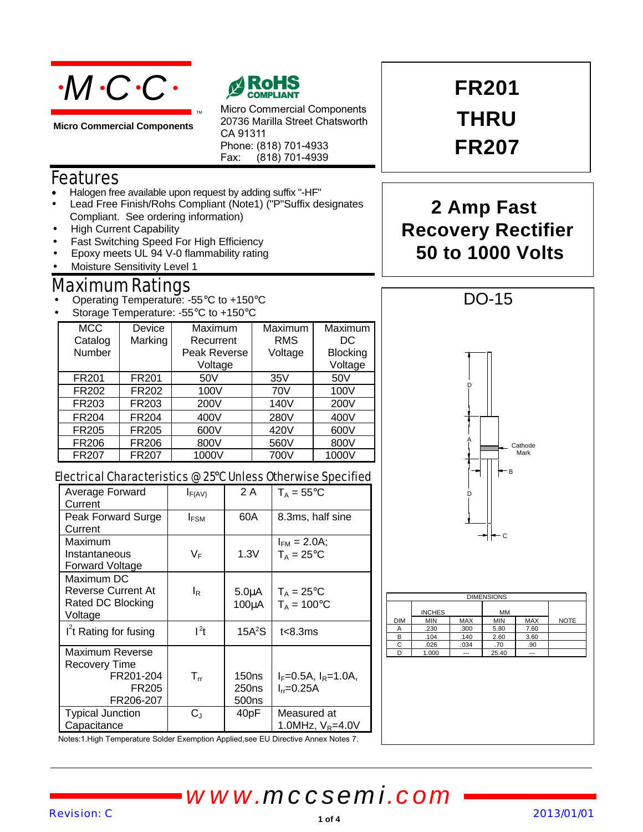

**Micro Commercial Components**



Micro Commercial Components 20736 Marilla Street Chatsworth CA 91311 Phone: (818) 701-4933 Fax: (818) 701-4939

### Features

- Halogen free available upon request by adding suffix "-HF"
- Lead Free Finish/Rohs Compliant (Note1) ("P"Suffix designates Compliant. See ordering information)
- High Current Capability
- Fast Switching Speed For High Efficiency
- Epoxy meets UL 94 V-0 flammability rating
- Moisture Sensitivity Level 1

## Maximum Ratings

- Operating Temperature: -55°C to +150°C
- Storage Temperature: -55°C to +150°C

| <b>MCC</b><br>Catalog | Device<br>Marking | Maximum<br>Recurrent    | Maximum<br><b>RMS</b> | Maximum<br>DC              |
|-----------------------|-------------------|-------------------------|-----------------------|----------------------------|
| Number                |                   | Peak Reverse<br>Voltage | Voltage               | <b>Blocking</b><br>Voltage |
| FR <sub>201</sub>     | FR <sub>201</sub> | 50V                     | 35V                   | 50V                        |
| FR202                 | FR202             | 100V                    | 70V                   | 100V                       |
| FR203                 | FR203             | 200V                    | 140V                  | 200V                       |
| FR204                 | <b>FR204</b>      | 400V                    | 280V                  | 400V                       |
| FR205                 | FR205             | 600V                    | 420V                  | 600V                       |
| FR206                 | FR206             | 800V                    | 560V                  | 800V                       |
| FR207                 | FR207             | 1000V                   | 700V                  | 1000V                      |

#### Electrical Characteristics @ 25°C Unless Otherwise Specified

| Average Forward<br>Current                                                             | $I_{F(AV)}$           | 2A                                              | $T_A = 55^{\circ}$ C                              |
|----------------------------------------------------------------------------------------|-----------------------|-------------------------------------------------|---------------------------------------------------|
| Peak Forward Surge<br>Current                                                          | $I_{FSM}$             | 60A                                             | 8.3ms, half sine                                  |
| Maximum<br>Instantaneous<br>Forward Voltage                                            | VF                    | 1.3V                                            | $I_{FM} = 2.0A;$<br>$T_A = 25$ °C                 |
| Maximum DC<br><b>Reverse Current At</b><br>Rated DC Blocking<br>Voltage                | l <sub>R</sub>        | $5.0\muA$<br>$100\mu A$                         | $T_A = 25^{\circ}C$<br>$T_A = 100^{\circ}$ C      |
| I't Rating for fusing                                                                  | $l^2t$                | 15A <sup>2</sup> S                              | t<8.3ms                                           |
| <b>Maximum Reverse</b><br>Recovery Time<br>FR201-204<br>FR <sub>205</sub><br>FR206-207 | $\mathsf{T}_{\sf rr}$ | 150 <sub>ns</sub><br>250 <sub>ns</sub><br>500ns | $I_F = 0.5A$ , $I_R = 1.0A$ ,<br>$I_{rr} = 0.25A$ |
| <b>Typical Junction</b><br>Capacitance                                                 | $\rm C_{J}$           | 40 <sub>pF</sub>                                | Measured at<br>1.0MHz, $V_R = 4.0V$               |

**FR201 THRU FR207**

## **2 Amp Fast Recovery Rectifier 50 to 1000 Volts**



|            | <b>INCHES</b> |            | <b>MM</b>  |            |             |
|------------|---------------|------------|------------|------------|-------------|
| <b>DIM</b> | <b>MIN</b>    | <b>MAX</b> | <b>MIN</b> | <b>MAX</b> | <b>NOTE</b> |
| A          | .230          | .300       | 5.80       | 7.60       |             |
| в          | .104          | .140       | 2.60       | 3.60       |             |
| С          | .026          | .034       | .70        | .90        |             |
| n          | 1.000         | ---        | 25.40      | ---        |             |

Notes:1.High Temperature Solder Exemption Applied,see EU Directive Annex Notes 7.

*www.mccsemi.com*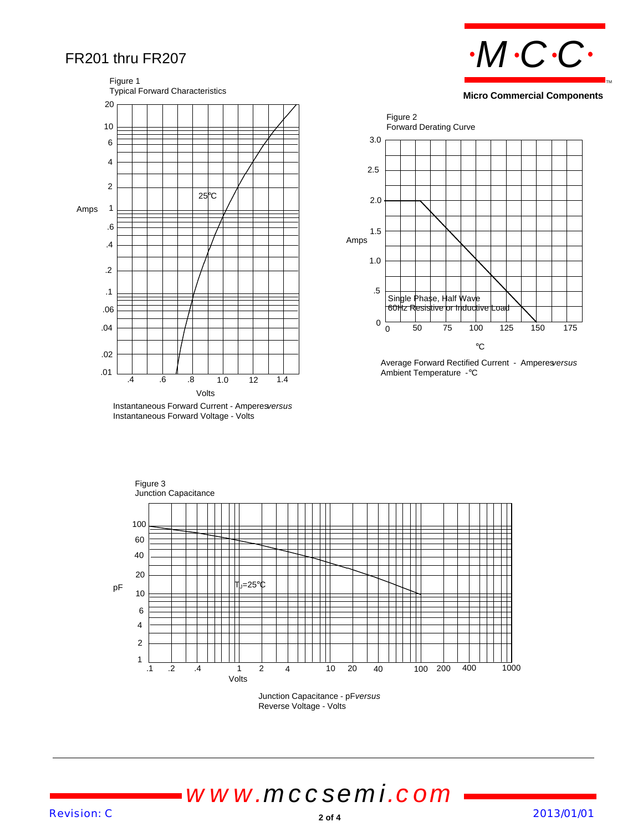### FR201 thru FR207



Instantaneous Forward Voltage - Volts



**Micro Commercial Components**



Average Forward Rectified Current - Amperes*versus* Ambient Temperature -°C



Junction Capacitance - pF*versus* Reverse Voltage - Volts

# *www.mccsemi.com*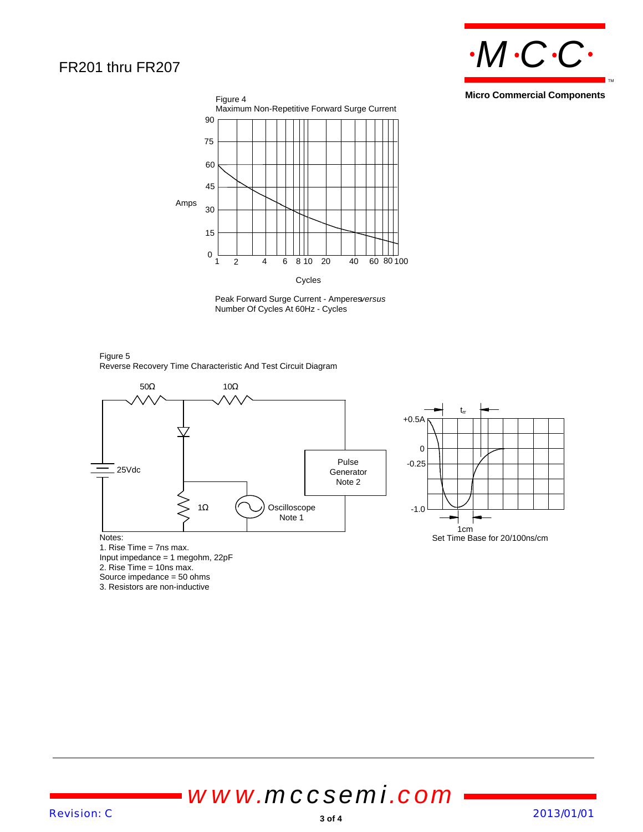### FR201 thru FR207



**Micro Commercial Components**



Peak Forward Surge Current - Amperes*versus* Number Of Cycles At 60Hz - Cycles

Figure 5 Reverse Recovery Time Characteristic And Test Circuit Diagram



1. Rise Time = 7ns max. Input impedance = 1 megohm, 22pF 2. Rise Time = 10ns max. Source impedance = 50 ohms 3. Resistors are non-inductive